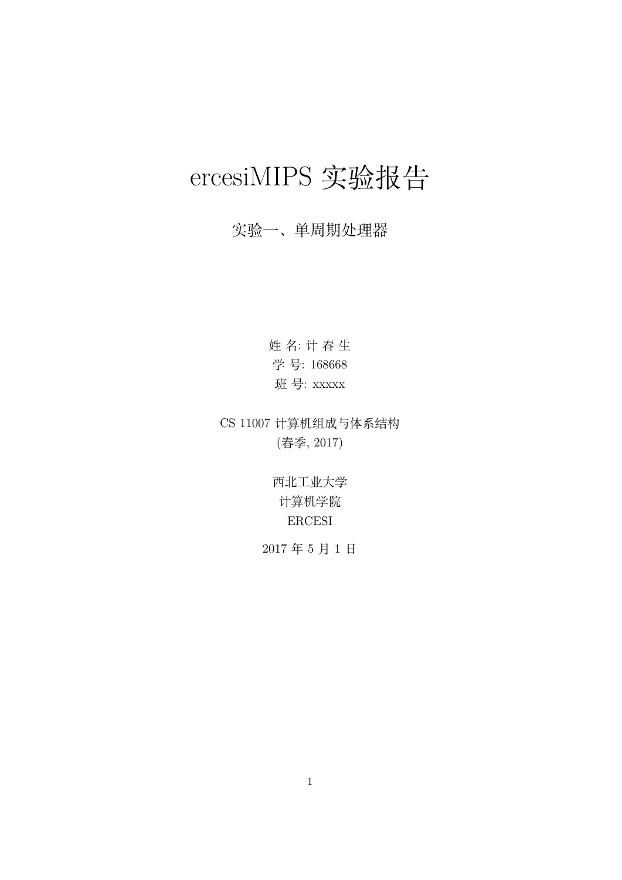# ercesiMIPS 实验报告

# 实验一、单周期处理器

姓 名: 计 春 生 学 号: 168668 班 号: xxxxx

CS 11007 计算机组成与体系结构 (春季, 2017)

> 西北工业大学 计算机学院 ERCESI

2017 年 5 月 1 日

1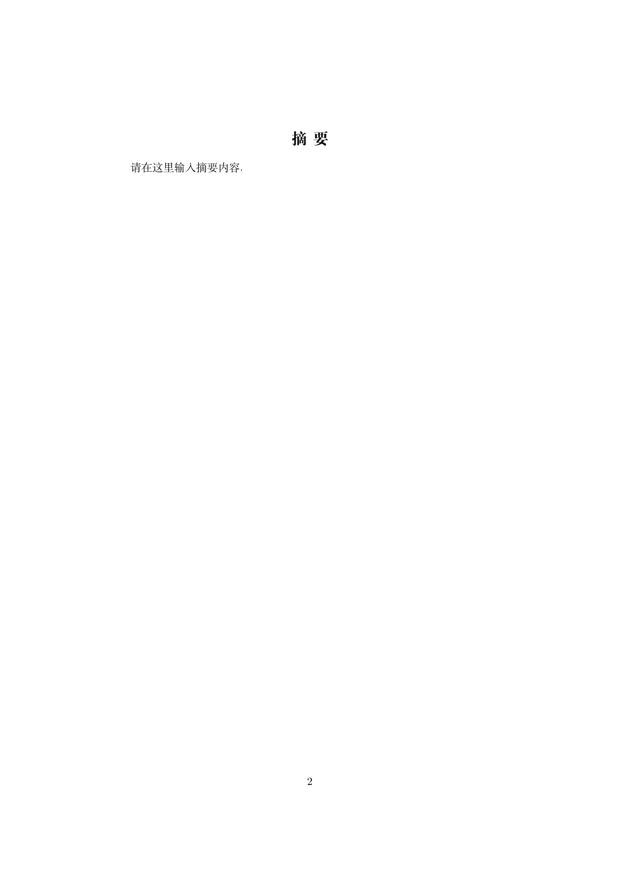**摘 要**

请在这里输入摘要内容.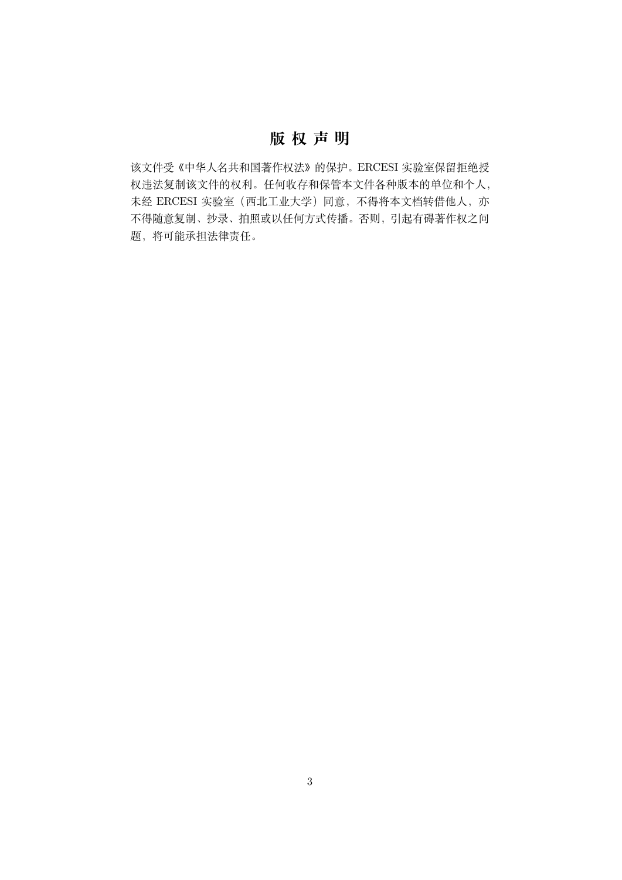# **版 权 声 明**

该文件受《中华人名共和国著作权法》的保护。ERCESI 实验室保留拒绝授 权违法复制该文件的权利。任何收存和保管本文件各种版本的单位和个人, 未经 ERCESI 实验室(西北工业大学)同意,不得将本文档转借他人,亦 不得随意复制、抄录、拍照或以任何方式传播。否则,引起有碍著作权之问 题,将可能承担法律责任。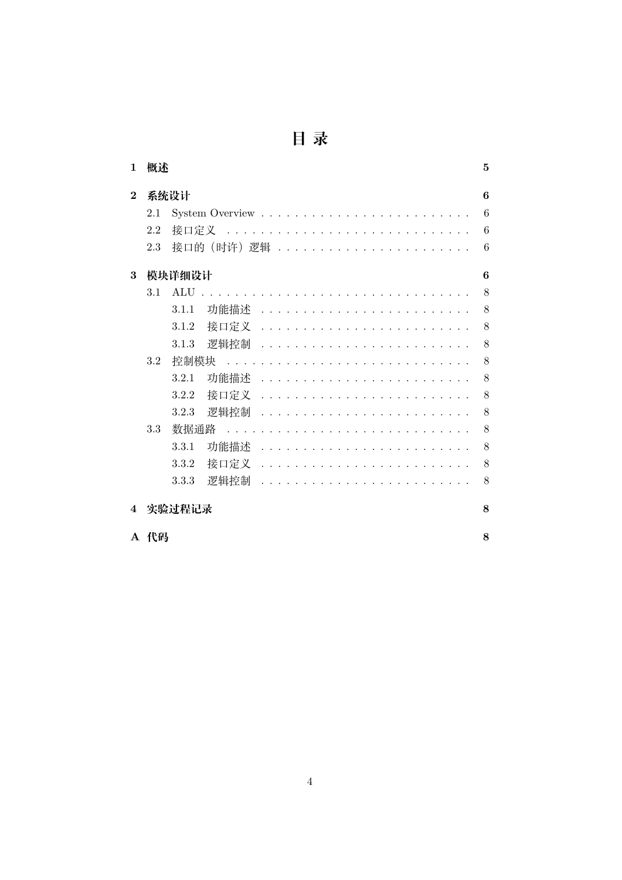| 1                       | 概述          |                                   | $\mathbf{5}$ |  |  |  |
|-------------------------|-------------|-----------------------------------|--------------|--|--|--|
| $\mathbf{2}$            | 系统设计<br>6   |                                   |              |  |  |  |
|                         | 2.1         |                                   | 6            |  |  |  |
|                         | 2.2         | 6<br>接口定义<br>$\sim$ $\sim$ $\sim$ |              |  |  |  |
|                         | 2.3         | 接口的 (时许) 逻辑<br>6                  |              |  |  |  |
| 3                       | 模块详细设计      |                                   |              |  |  |  |
|                         | 3.1         | ALU                               | 8            |  |  |  |
|                         |             | 8<br>3.1.1<br>功能描述                |              |  |  |  |
|                         |             | 接口定义<br>3.1.2                     | 8            |  |  |  |
|                         |             | 8<br>3.1.3<br>逻辑控制                |              |  |  |  |
|                         | $3.2\,$     | 8<br>控制模块                         |              |  |  |  |
|                         |             | 功能描述<br>3.2.1                     | 8            |  |  |  |
|                         |             | 3.2.2<br>接口定义                     | 8            |  |  |  |
|                         |             | 8<br>3.2.3<br>逻辑控制                |              |  |  |  |
|                         | 3.3         | 数据通路<br>8                         |              |  |  |  |
|                         |             | 8<br>3.3.1<br>功能描述                |              |  |  |  |
|                         |             | 8<br>3.3.2<br>接口定义                |              |  |  |  |
|                         |             | 3.3.3<br>逻辑控制<br>8                |              |  |  |  |
| $\overline{\mathbf{4}}$ | 8<br>实验过程记录 |                                   |              |  |  |  |
|                         | A 代码        | 8                                 |              |  |  |  |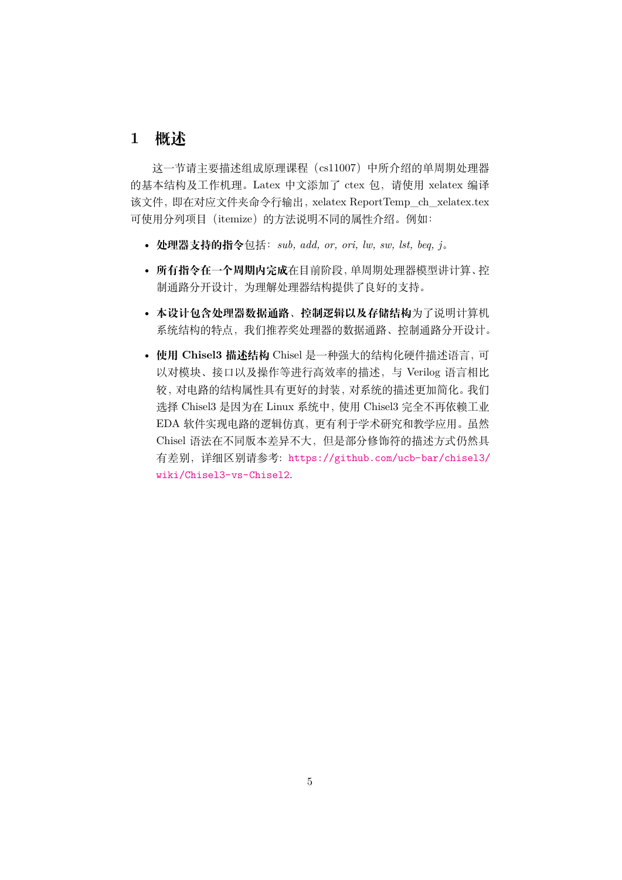### **1 概述**

<span id="page-4-0"></span>这一节请主要描述组成原理课程(cs11007)中所介绍的单周期处理器 的基本结构及工作机理。Latex 中文添加了 ctex 包,请使用 xelatex 编译 该文件,即在对应文件夹命令行输出,xelatex ReportTemp\_ch\_xelatex.tex 可使用分列项目 (itemize) 的方法说明不同的属性介绍。例如:

- **处理器支持的指令**包括:*sub, add, or, ori, lw, sw, lst, beq, j*。
- **所有指令在一个周期内完成**在目前阶段,单周期处理器模型讲计算、控 制通路分开设计,为理解处理器结构提供了良好的支持。
- **本设计包含处理器数据通路、控制逻辑以及存储结构**为了说明计算机 系统结构的特点,我们推荐奖处理器的数据通路、控制通路分开设计。
- **使用 Chisel3 描述结构** Chisel 是一种强大的结构化硬件描述语言,可 以对模块、接口以及操作等进行高效率的描述,与 Verilog 语言相比 较,对电路的结构属性具有更好的封装,对系统的描述更加简化。我们 选择 Chisel3 是因为在 Linux 系统中,使用 Chisel3 完全不再依赖工业 EDA 软件实现电路的逻辑仿真,更有利于学术研究和教学应用。虽然 Chisel 语法在不同版本差异不大,但是部分修饰符的描述方式仍然具 有差别,详细区别请参考: https://github.com/ucb-bar/chisel3/ wiki/Chisel3-vs-Chisel2.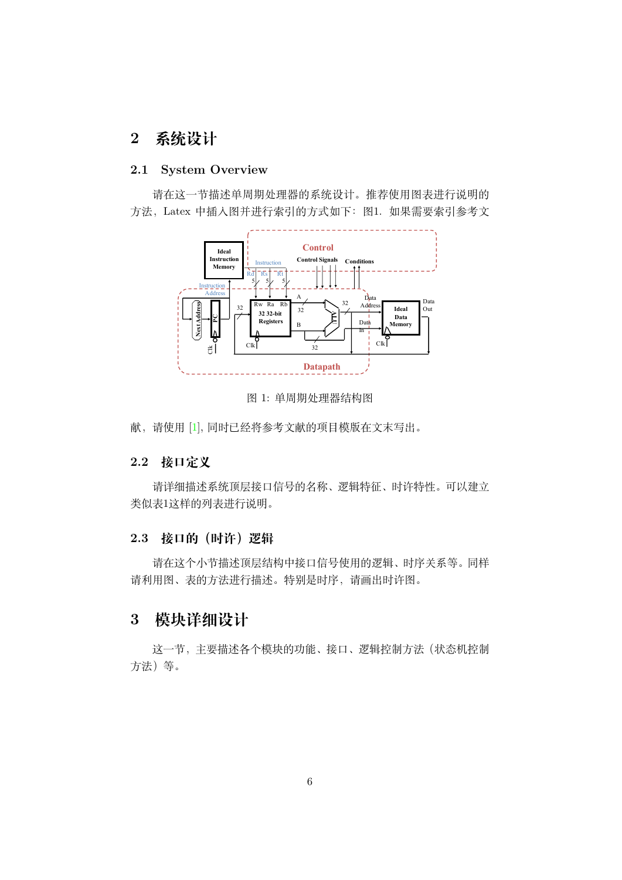# **2 系统设计**

#### **2.1 System Overview**

<span id="page-5-1"></span><span id="page-5-0"></span>请在这一节描述单周期处理器的系统设计。推荐使用图表进行说明的 方法,Latex 中插入图并进行索引的方式如下:图1. 如果需要索引参考文



<span id="page-5-5"></span>图 1: 单周期处理器结构图

献,请使用 [1], 同时已经将参考文献的项目模版在文末写出。

#### **2.2 接口定义**

<span id="page-5-2"></span>请详细[描述](#page-9-0)系统顶层接口信号的名称、逻辑特征、时许特性。可以建立 类似表1这样的列表进行说明。

#### **2.3 接口的(时许)逻辑**

<span id="page-5-3"></span>[请在](#page-6-0)这个小节描述顶层结构中接口信号使用的逻辑、时序关系等。同样 请利用图、表的方法进行描述。特别是时序,请画出时许图。

# **3 模块详细设计**

<span id="page-5-4"></span>这一节,主要描述各个模块的功能、接口、逻辑控制方法(状态机控制 方法)等。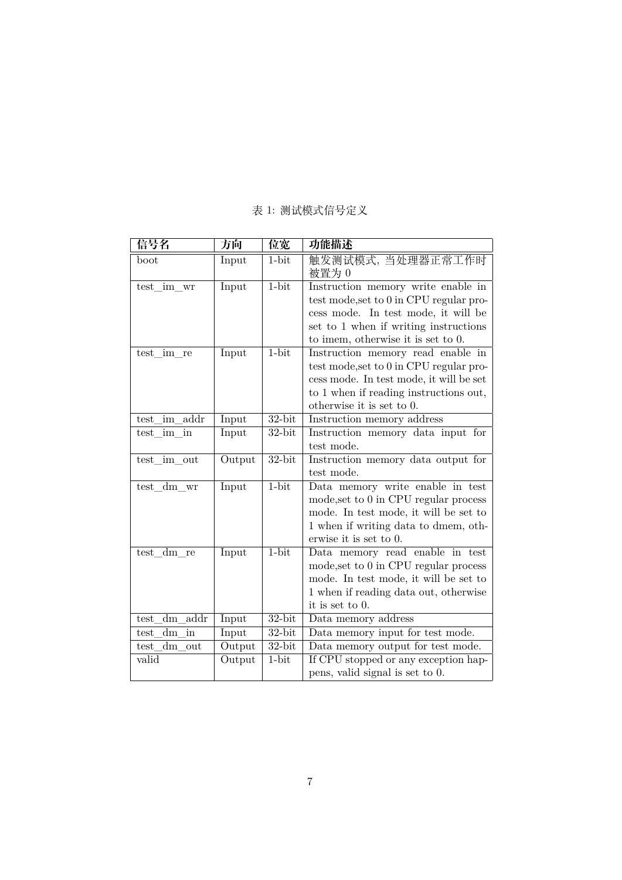<span id="page-6-0"></span>

| 信号名                | 方向     | 位宽        | 功能描述                                    |
|--------------------|--------|-----------|-----------------------------------------|
| $_{\text{boot}}$   | Input  | $1 - bit$ | 触发测试模式,当处理器正常工作时                        |
|                    |        |           | 被置为 0                                   |
| test im wr         | Input  | $1-bit$   | Instruction memory write enable in      |
|                    |        |           | test mode, set to 0 in CPU regular pro- |
|                    |        |           | cess mode. In test mode, it will be     |
|                    |        |           | set to 1 when if writing instructions   |
|                    |        |           | to imem, otherwise it is set to 0.      |
| test im re         | Input  | $1-bit$   | Instruction memory read enable in       |
|                    |        |           | test mode, set to 0 in CPU regular pro- |
|                    |        |           | cess mode. In test mode, it will be set |
|                    |        |           | to 1 when if reading instructions out,  |
|                    |        |           | otherwise it is set to 0.               |
| test im addr       | Input  | $32$ -bit | Instruction memory address              |
| test im in         | Input  | $32$ -bit | Instruction memory data input for       |
|                    |        |           | test mode.                              |
| test im out        | Output | $32$ -bit | Instruction memory data output for      |
|                    |        |           | test mode.                              |
| test dm wr         | Input  | $1-bit$   | Data memory write enable in test        |
|                    |        |           | mode, set to 0 in CPU regular process   |
|                    |        |           | mode. In test mode, it will be set to   |
|                    |        |           | 1 when if writing data to dmem, oth-    |
|                    |        |           | erwise it is set to 0.                  |
| test dm re         | Input  | $1-bit$   | Data memory read enable in test         |
|                    |        |           | mode, set to 0 in CPU regular process   |
|                    |        |           | mode. In test mode, it will be set to   |
|                    |        |           | 1 when if reading data out, otherwise   |
|                    |        |           | it is set to $0$ .                      |
| addr<br>dm<br>test | Input  | 32-bit    | Data memory address                     |
| dm<br>test<br>in   | Input  | $32$ -bit | Data memory input for test mode.        |
| dm<br>test<br>out  | Output | $32$ -bit | Data memory output for test mode.       |
| valid              | Output | $1-bit$   | If CPU stopped or any exception hap-    |
|                    |        |           | pens, valid signal is set to 0.         |

### 表 1: 测试模式信号定义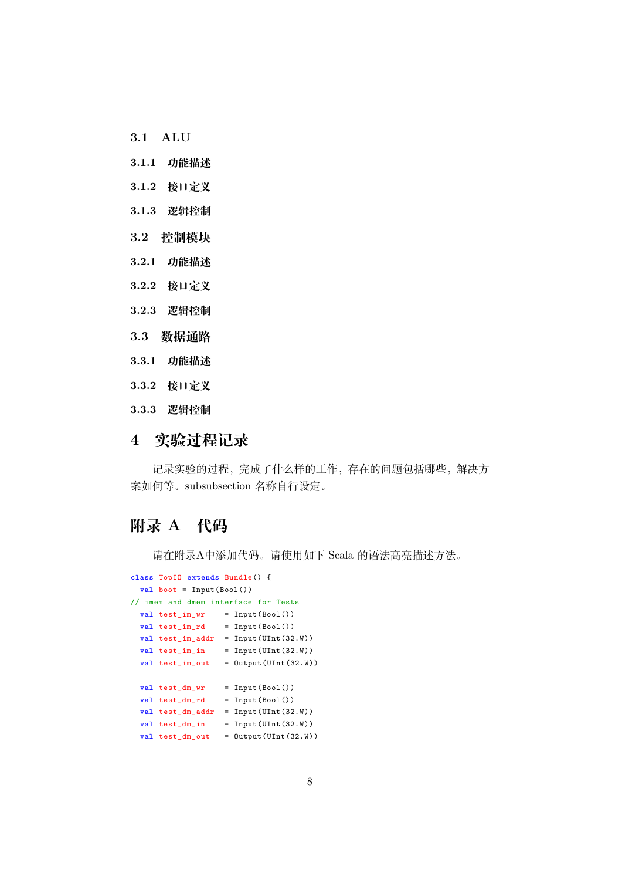- **3.1 ALU**
- **3.1.1 功能描述**
- <span id="page-7-0"></span>**3.1.2 接口定义**
- <span id="page-7-1"></span>**3.1.3 逻辑控制**
- <span id="page-7-2"></span>**3.2 控制模块**
- <span id="page-7-3"></span>**3.2.1 功能描述**
- <span id="page-7-4"></span>**3.2.2 接口定义**
- <span id="page-7-5"></span>**3.2.3 逻辑控制**
- <span id="page-7-6"></span>**3.3 数据通路**
- <span id="page-7-7"></span>**3.3.1 功能描述**
- <span id="page-7-8"></span>**3.3.2 接口定义**
- <span id="page-7-9"></span>**3.3.3 逻辑控制**

## <span id="page-7-10"></span>**4 实验过程记录**

记录实验的过程,完成了什么样的工作,存在的问题包括哪些,解决方 案如何等。subsubsection 名称自行设定。

## **附录 A 代码**

请在附录A中添加代码。请使用如下 Scala 的语法高亮描述方法。

```
class TopIO extends Bundle() {
 val boot = Input(Bool())
// imem and dmem interface for Tests
 val test_im_wr = Input(Bool())
 val test_im_rd = Input(Bool())
 val test_im_addr = Input(UInt(32.W))
 val test\_im\_in = Input(UInt(32.W))
 val test\_im\_out = Output (UInt(32.W))
 val test_dm_wr = Input(Bool())
 val test\_dm\_rd = Input(Bool())val test_dm_addr = Input(UInt(32.W))
 val test_dm_in = Input(UInt(32.W))
 val test\_dm\_out = Output (UInt (32.W))
```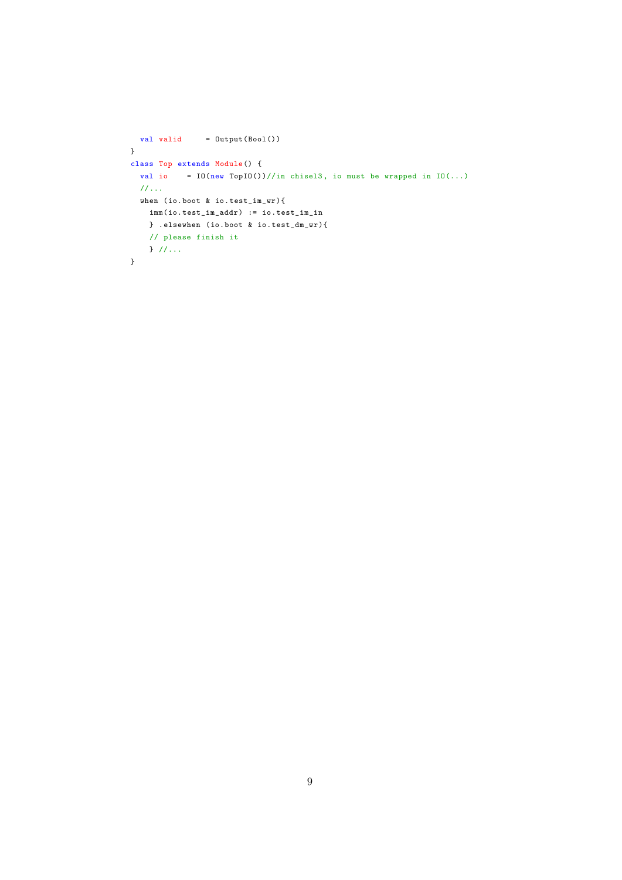```
val valid = 0utput(Bool())
}
class Top extends Module() {
 val io = IO(new TopIO()) // in chisel3, io must be wrapped in <math>IO(...)</math>//...
 when (io.boot & io.test_im_wr){
   imm(io.test_im_addr) := io.test_im_in
   } .elsewhen (io.boot & io.test_dm_wr){
   // please finish it
   } //...
}
```